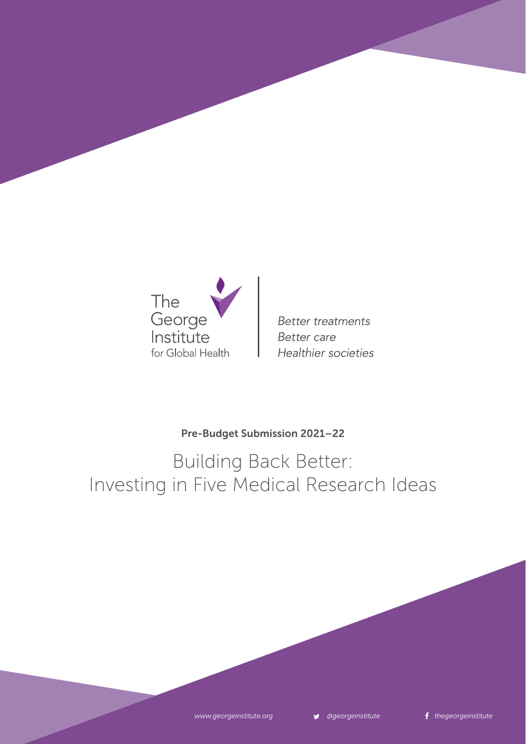

**Better treatments Better** care Healthier societies

### Pre-Budget Submission 2021–22

Building Back Better: Investing in Five Medical Research Ideas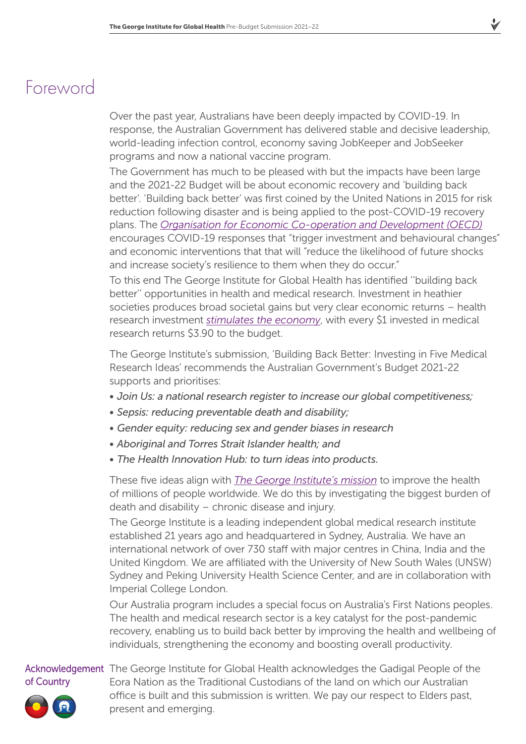### Foreword

Over the past year, Australians have been deeply impacted by COVID-19. In response, the Australian Government has delivered stable and decisive leadership, world-leading infection control, economy saving JobKeeper and JobSeeker programs and now a national vaccine program.

The Government has much to be pleased with but the impacts have been large and the 2021-22 Budget will be about economic recovery and 'building back better'. 'Building back better' was first coined by the United Nations in 2015 for risk reduction following disaster and is being applied to the post-COVID-19 recovery plans. The *[Organisation for Economic Co-operation and Development \(OECD\)](http://www.oecd.org/coronavirus/policy-responses/building-back-better-a-sustainable-resilient-recovery-after-covid-19-52b869f5/)* encourages COVID-19 responses that "trigger investment and behavioural changes" and economic interventions that that will "reduce the likelihood of future shocks and increase society's resilience to them when they do occur."

To this end The George Institute for Global Health has identified ''building back better'' opportunities in health and medical research. Investment in heathier societies produces broad societal gains but very clear economic returns – health research investment *[stimulates the economy](https://newsroom.kpmg.com.au/medical-research-good-australia-australians-impressive-return-investment/)*, with every \$1 invested in medical research returns \$3.90 to the budget.

The George Institute's submission, 'Building Back Better: Investing in Five Medical Research Ideas' recommends the Australian Government's Budget 2021-22 supports and prioritises:

- *• Join Us: a national research register to increase our global competitiveness;*
- *• Sepsis: reducing preventable death and disability;*
- *• Gender equity: reducing sex and gender biases in research*
- *• Aboriginal and Torres Strait Islander health; and*
- *• The Health Innovation Hub: to turn ideas into products.*

These five ideas align with *[The George Institute's mission](https://www.georgeinstitute.org.au/our-mission-values)* to improve the health of millions of people worldwide. We do this by investigating the biggest burden of death and disability – chronic disease and injury.

The George Institute is a leading independent global medical research institute established 21 years ago and headquartered in Sydney, Australia. We have an international network of over 730 staff with major centres in China, India and the United Kingdom. We are affiliated with the University of New South Wales (UNSW) Sydney and Peking University Health Science Center, and are in collaboration with Imperial College London.

Our Australia program includes a special focus on Australia's First Nations peoples. The health and medical research sector is a key catalyst for the post-pandemic recovery, enabling us to build back better by improving the health and wellbeing of individuals, strengthening the economy and boosting overall productivity.

### of Country

Acknowledgement The George Institute for Global Health acknowledges the Gadigal People of the Eora Nation as the Traditional Custodians of the land on which our Australian office is built and this submission is written. We pay our respect to Elders past, present and emerging.

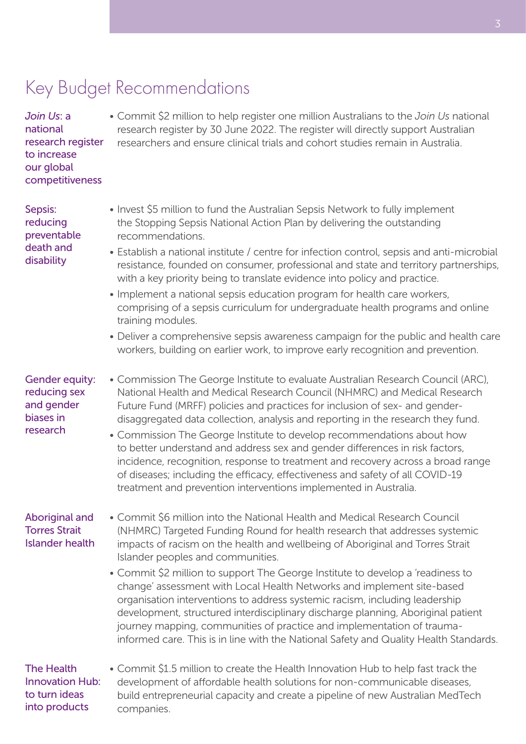# Key Budget Recommendations

*Join Us*: a national research register to increase our global competitiveness

• Commit \$2 million to help register one million Australians to the *Join Us* national research register by 30 June 2022. The register will directly support Australian researchers and ensure clinical trials and cohort studies remain in Australia.

Sepsis: reducing preventable death and disability

- Invest \$5 million to fund the Australian Sepsis Network to fully implement the Stopping Sepsis National Action Plan by delivering the outstanding recommendations.
- Establish a national institute / centre for infection control, sepsis and anti-microbial resistance, founded on consumer, professional and state and territory partnerships, with a key priority being to translate evidence into policy and practice.
- Implement a national sepsis education program for health care workers, comprising of a sepsis curriculum for undergraduate health programs and online training modules.
- Deliver a comprehensive sepsis awareness campaign for the public and health care workers, building on earlier work, to improve early recognition and prevention.

### Gender equity: reducing sex and gender biases in research

- Commission The George Institute to evaluate Australian Research Council (ARC), National Health and Medical Research Council (NHMRC) and Medical Research Future Fund (MRFF) policies and practices for inclusion of sex- and genderdisaggregated data collection, analysis and reporting in the research they fund.
- Commission The George Institute to develop recommendations about how to better understand and address sex and gender differences in risk factors, incidence, recognition, response to treatment and recovery across a broad range of diseases; including the efficacy, effectiveness and safety of all COVID-19 treatment and prevention interventions implemented in Australia.

### Aboriginal and Torres Strait Islander health

- Commit \$6 million into the National Health and Medical Research Council (NHMRC) Targeted Funding Round for health research that addresses systemic impacts of racism on the health and wellbeing of Aboriginal and Torres Strait Islander peoples and communities.
	- Commit \$2 million to support The George Institute to develop a 'readiness to change' assessment with Local Health Networks and implement site-based organisation interventions to address systemic racism, including leadership development, structured interdisciplinary discharge planning, Aboriginal patient journey mapping, communities of practice and implementation of traumainformed care. This is in line with the National Safety and Quality Health Standards.

The Health Innovation Hub: to turn ideas into products

• Commit \$1.5 million to create the Health Innovation Hub to help fast track the development of affordable health solutions for non-communicable diseases, build entrepreneurial capacity and create a pipeline of new Australian MedTech companies.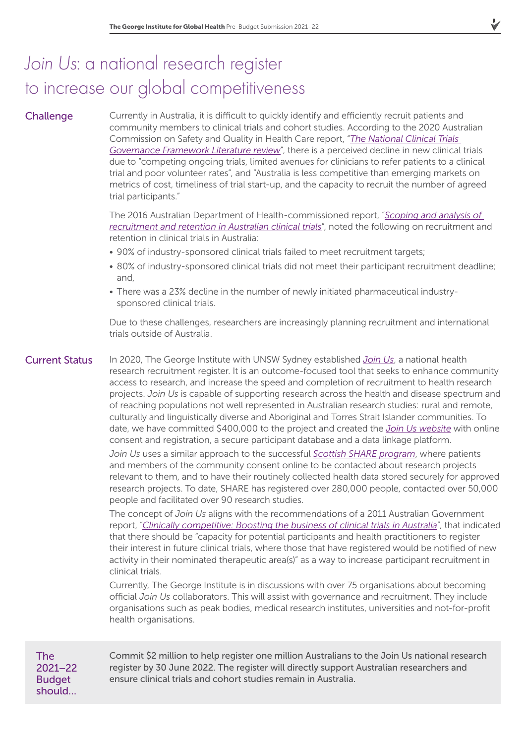# *Join Us*: a national research register to increase our global competitiveness

### **Challenge**

Currently in Australia, it is difficult to quickly identify and efficiently recruit patients and community members to clinical trials and cohort studies. According to the 2020 Australian Commission on Safety and Quality in Health Care report, "*[The National Clinical Trials](https://www.safetyandquality.gov.au/sites/default/files/2020-02/national_clinical_trial_governance_framework_-_literature_review.pdf)  [Governance Framework Literature review](https://www.safetyandquality.gov.au/sites/default/files/2020-02/national_clinical_trial_governance_framework_-_literature_review.pdf)*", there is a perceived decline in new clinical trials due to "competing ongoing trials, limited avenues for clinicians to refer patients to a clinical trial and poor volunteer rates", and "Australia is less competitive than emerging markets on metrics of cost, timeliness of trial start-up, and the capacity to recruit the number of agreed trial participants."

The 2016 Australian Department of Health-commissioned report, "*[Scoping and analysis of](https://www1.health.gov.au/internet/main/publishing.nsf/Content/EE207D978A44E4B8CA257FA90081B212/$File/EY%20Final%20Report%20-%20Recruitment%20and%20retention%20in%20Australian%20clinical%20trials%2030%20June%202016.pdf)  [recruitment and retention in Australian clinical trials](https://www1.health.gov.au/internet/main/publishing.nsf/Content/EE207D978A44E4B8CA257FA90081B212/$File/EY%20Final%20Report%20-%20Recruitment%20and%20retention%20in%20Australian%20clinical%20trials%2030%20June%202016.pdf)*", noted the following on recruitment and retention in clinical trials in Australia:

- 90% of industry-sponsored clinical trials failed to meet recruitment targets;
- 80% of industry-sponsored clinical trials did not meet their participant recruitment deadline; and,
- There was a 23% decline in the number of newly initiated pharmaceutical industrysponsored clinical trials.

Due to these challenges, researchers are increasingly planning recruitment and international trials outside of Australia.

### Current Status

In 2020, The George Institute with UNSW Sydney established *[Join Us](https://www.joinus.org.au/)*, a national health research recruitment register. It is an outcome-focused tool that seeks to enhance community access to research, and increase the speed and completion of recruitment to health research projects. *Join Us* is capable of supporting research across the health and disease spectrum and of reaching populations not well represented in Australian research studies: rural and remote, culturally and linguistically diverse and Aboriginal and Torres Strait Islander communities. To date, we have committed \$400,000 to the project and created the *[Join Us website](https://www.joinus.org.au/)* with online consent and registration, a secure participant database and a data linkage platform.

*Join Us* uses a similar approach to the successful *[Scottish SHARE program](https://www.registerforshare.org/)*, where patients and members of the community consent online to be contacted about research projects relevant to them, and to have their routinely collected health data stored securely for approved research projects. To date, SHARE has registered over 280,000 people, contacted over 50,000 people and facilitated over 90 research studies.

The concept of *Join Us* aligns with the recommendations of a 2011 Australian Government report, "*[Clinically competitive: Boosting the business of clinical trials in Australia](http://docplayer.net/784561-Clinically-competitive-boosting-the-business-of-clinical-trials-in-australia-clinical-trials-action-group-report.html)*", that indicated that there should be "capacity for potential participants and health practitioners to register their interest in future clinical trials, where those that have registered would be notified of new activity in their nominated therapeutic area(s)" as a way to increase participant recruitment in clinical trials.

Currently, The George Institute is in discussions with over 75 organisations about becoming official *Join Us* collaborators. This will assist with governance and recruitment. They include organisations such as peak bodies, medical research institutes, universities and not-for-profit health organisations.

The 2021–22 **Budget** should…

Commit \$2 million to help register one million Australians to the Join Us national research register by 30 June 2022. The register will directly support Australian researchers and ensure clinical trials and cohort studies remain in Australia.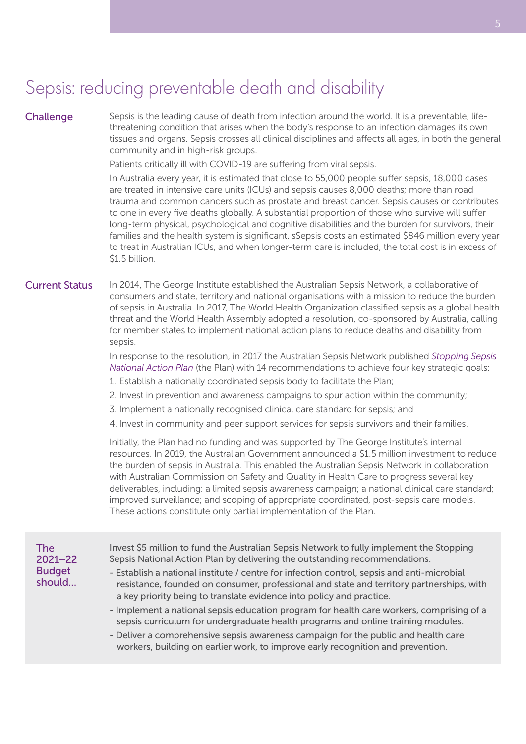# Sepsis: reducing preventable death and disability

#### **Challenge**

Sepsis is the leading cause of death from infection around the world. It is a preventable, lifethreatening condition that arises when the body's response to an infection damages its own tissues and organs. Sepsis crosses all clinical disciplines and affects all ages, in both the general community and in high-risk groups.

Patients critically ill with COVID-19 are suffering from viral sepsis.

In Australia every year, it is estimated that close to 55,000 people suffer sepsis, 18,000 cases are treated in intensive care units (ICUs) and sepsis causes 8,000 deaths; more than road trauma and common cancers such as prostate and breast cancer. Sepsis causes or contributes to one in every five deaths globally. A substantial proportion of those who survive will suffer long-term physical, psychological and cognitive disabilities and the burden for survivors, their families and the health system is significant. sSepsis costs an estimated \$846 million every year to treat in Australian ICUs, and when longer-term care is included, the total cost is in excess of \$1.5 billion.

#### In 2014, The George Institute established the Australian Sepsis Network, a collaborative of consumers and state, territory and national organisations with a mission to reduce the burden of sepsis in Australia. In 2017, The World Health Organization classified sepsis as a global health threat and the World Health Assembly adopted a resolution, co-sponsored by Australia, calling for member states to implement national action plans to reduce deaths and disability from sepsis. Current Status

In response to the resolution, in 2017 the Australian Sepsis Network published *[Stopping Sepsis](https://www.australiansepsisnetwork.net.au/ssnap/stopping-sepsis-national-action-plan)  [National Action Plan](https://www.australiansepsisnetwork.net.au/ssnap/stopping-sepsis-national-action-plan)* (the Plan) with 14 recommendations to achieve four key strategic goals:

- 1. Establish a nationally coordinated sepsis body to facilitate the Plan;
- 2. Invest in prevention and awareness campaigns to spur action within the community;
- 3. Implement a nationally recognised clinical care standard for sepsis; and
- 4. Invest in community and peer support services for sepsis survivors and their families.

Initially, the Plan had no funding and was supported by The George Institute's internal resources. In 2019, the Australian Government announced a \$1.5 million investment to reduce the burden of sepsis in Australia. This enabled the Australian Sepsis Network in collaboration with Australian Commission on Safety and Quality in Health Care to progress several key deliverables, including: a limited sepsis awareness campaign; a national clinical care standard; improved surveillance; and scoping of appropriate coordinated, post-sepsis care models. These actions constitute only partial implementation of the Plan.

#### The 2021–22 **Budget** should…

Invest \$5 million to fund the Australian Sepsis Network to fully implement the Stopping Sepsis National Action Plan by delivering the outstanding recommendations.

- Establish a national institute / centre for infection control, sepsis and anti-microbial resistance, founded on consumer, professional and state and territory partnerships, with a key priority being to translate evidence into policy and practice.
- Implement a national sepsis education program for health care workers, comprising of a sepsis curriculum for undergraduate health programs and online training modules.
- Deliver a comprehensive sepsis awareness campaign for the public and health care workers, building on earlier work, to improve early recognition and prevention.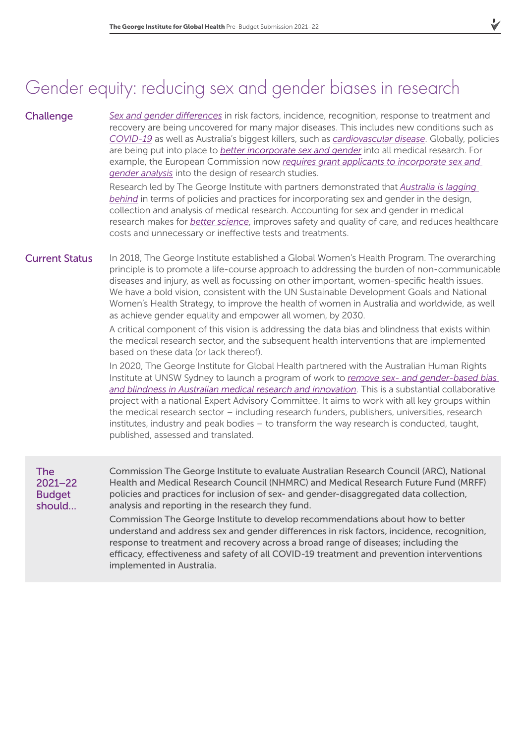# Gender equity: reducing sex and gender biases in research

#### **Challenge**

*[Sex and gender differences](https://www.thelancet.com/journals/lancet/article/PIIS0140-6736(20)31561-0/fulltext)* in risk factors, incidence, recognition, response to treatment and recovery are being uncovered for many major diseases. This includes new conditions such as *[COVID-19](https://globalhealth5050.org/covid19/)* as well as Australia's biggest killers, such as *[cardiovascular disease](https://www.bmj.com/content/363/bmj.k4247.abstract)*. Globally, policies are being put into place to *[better incorporate sex and gender](https://www.nature.com/articles/d41586-020-03459-y)* into all medical research. For example, the European Commission now *[requires grant applicants to incorporate sex and](https://www.nature.com/articles/d41586-020-03459-y)  [gender analysis](https://www.nature.com/articles/d41586-020-03459-y)* into the design of research studies.

Research led by The George Institute with partners demonstrated that *[Australia is lagging](https://www.mja.com.au/journal/2020/212/2/sex-and-gender-health-research-updating-policy-reflect-evidence)  [behind](https://www.mja.com.au/journal/2020/212/2/sex-and-gender-health-research-updating-policy-reflect-evidence)* in terms of policies and practices for incorporating sex and gender in the design, collection and analysis of medical research. Accounting for sex and gender in medical research makes for *[better science](https://www.nature.com/articles/d41586-020-03459-y)*, improves safety and quality of care, and reduces healthcare costs and unnecessary or ineffective tests and treatments.

In 2018, The George Institute established a Global Women's Health Program. The overarching principle is to promote a life-course approach to addressing the burden of non-communicable diseases and injury, as well as focussing on other important, women-specific health issues. We have a bold vision, consistent with the UN Sustainable Development Goals and National Women's Health Strategy, to improve the health of women in Australia and worldwide, as well as achieve gender equality and empower all women, by 2030. Current Status

> A critical component of this vision is addressing the data bias and blindness that exists within the medical research sector, and the subsequent health interventions that are implemented based on these data (or lack thereof).

In 2020, The George Institute for Global Health partnered with the Australian Human Rights Institute at UNSW Sydney to launch a program of work to *[remove sex- and gender-based bias](https://www.georgeinstitute.org.au/media-releases/removing-sex-and-gender-bias-to-improve-care-starting-with-covid-19)  [and blindness in Australian medical research and innovation](https://www.georgeinstitute.org.au/media-releases/removing-sex-and-gender-bias-to-improve-care-starting-with-covid-19)*. This is a substantial collaborative project with a national Expert Advisory Committee. It aims to work with all key groups within the medical research sector – including research funders, publishers, universities, research institutes, industry and peak bodies – to transform the way research is conducted, taught, published, assessed and translated.

The 2021–22 **Budget** should…

Commission The George Institute to evaluate Australian Research Council (ARC), National Health and Medical Research Council (NHMRC) and Medical Research Future Fund (MRFF) policies and practices for inclusion of sex- and gender-disaggregated data collection, analysis and reporting in the research they fund.

Commission The George Institute to develop recommendations about how to better understand and address sex and gender differences in risk factors, incidence, recognition, response to treatment and recovery across a broad range of diseases; including the efficacy, effectiveness and safety of all COVID-19 treatment and prevention interventions implemented in Australia.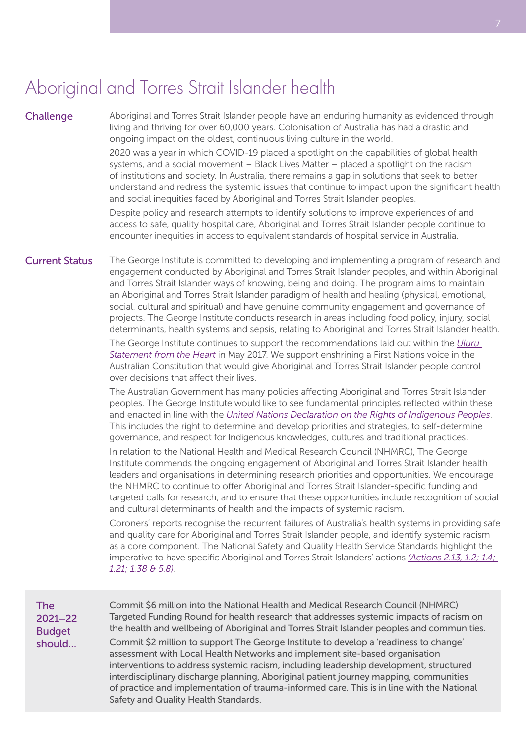### Aboriginal and Torres Strait Islander health

#### **Challenge**

Aboriginal and Torres Strait Islander people have an enduring humanity as evidenced through living and thriving for over 60,000 years. Colonisation of Australia has had a drastic and ongoing impact on the oldest, continuous living culture in the world.

2020 was a year in which COVID-19 placed a spotlight on the capabilities of global health systems, and a social movement – Black Lives Matter – placed a spotlight on the racism of institutions and society. In Australia, there remains a gap in solutions that seek to better understand and redress the systemic issues that continue to impact upon the significant health and social inequities faced by Aboriginal and Torres Strait Islander peoples.

Despite policy and research attempts to identify solutions to improve experiences of and access to safe, quality hospital care, Aboriginal and Torres Strait Islander people continue to encounter inequities in access to equivalent standards of hospital service in Australia.

The George Institute is committed to developing and implementing a program of research and engagement conducted by Aboriginal and Torres Strait Islander peoples, and within Aboriginal and Torres Strait Islander ways of knowing, being and doing. The program aims to maintain an Aboriginal and Torres Strait Islander paradigm of health and healing (physical, emotional, social, cultural and spiritual) and have genuine community engagement and governance of projects. The George Institute conducts research in areas including food policy, injury, social determinants, health systems and sepsis, relating to Aboriginal and Torres Strait Islander health. Current Status

> The George Institute continues to support the recommendations laid out within the *[Uluru](https://ulurustatement.org/)  [Statement from the Heart](https://ulurustatement.org/)* in May 2017. We support enshrining a First Nations voice in the Australian Constitution that would give Aboriginal and Torres Strait Islander people control over decisions that affect their lives.

The Australian Government has many policies affecting Aboriginal and Torres Strait Islander peoples. The George Institute would like to see fundamental principles reflected within these and enacted in line with the *[United Nations Declaration on the Rights of Indigenous Peoples](https://www.un.org/development/desa/indigenouspeoples/declaration-on-the-rights-of-indigenous-peoples.html)*. This includes the right to determine and develop priorities and strategies, to self-determine governance, and respect for Indigenous knowledges, cultures and traditional practices.

In relation to the National Health and Medical Research Council (NHMRC), The George Institute commends the ongoing engagement of Aboriginal and Torres Strait Islander health leaders and organisations in determining research priorities and opportunities. We encourage the NHMRC to continue to offer Aboriginal and Torres Strait Islander-specific funding and targeted calls for research, and to ensure that these opportunities include recognition of social and cultural determinants of health and the impacts of systemic racism.

Coroners' reports recognise the recurrent failures of Australia's health systems in providing safe and quality care for Aboriginal and Torres Strait Islander people, and identify systemic racism as a core component. The National Safety and Quality Health Service Standards highlight the imperative to have specific Aboriginal and Torres Strait Islanders' actions *[\(Actions 2.13, 1.2; 1.4;](https://www.safetyandquality.gov.au/sites/default/files/migrated/National-Safety-and-Quality-Health-Service-Standards-User-Guide-for-Aboriginal-and-Torres-Strait-Islander-Health.pdf)  [1.21; 1.38 & 5.8\)](https://www.safetyandquality.gov.au/sites/default/files/migrated/National-Safety-and-Quality-Health-Service-Standards-User-Guide-for-Aboriginal-and-Torres-Strait-Islander-Health.pdf)*.

| <b>The</b><br>$2021 - 22$<br><b>Budget</b><br>should | Commit \$6 million into the National Health and Medical Research Council (NHMRC)<br>Targeted Funding Round for health research that addresses systemic impacts of racism on<br>the health and wellbeing of Aboriginal and Torres Strait Islander peoples and communities.                                                                                                                                                                                                                    |
|------------------------------------------------------|----------------------------------------------------------------------------------------------------------------------------------------------------------------------------------------------------------------------------------------------------------------------------------------------------------------------------------------------------------------------------------------------------------------------------------------------------------------------------------------------|
|                                                      | Commit \$2 million to support The George Institute to develop a 'readiness to change'<br>assessment with Local Health Networks and implement site-based organisation<br>interventions to address systemic racism, including leadership development, structured<br>interdisciplinary discharge planning, Aboriginal patient journey mapping, communities<br>of practice and implementation of trauma-informed care. This is in line with the National<br>Safety and Quality Health Standards. |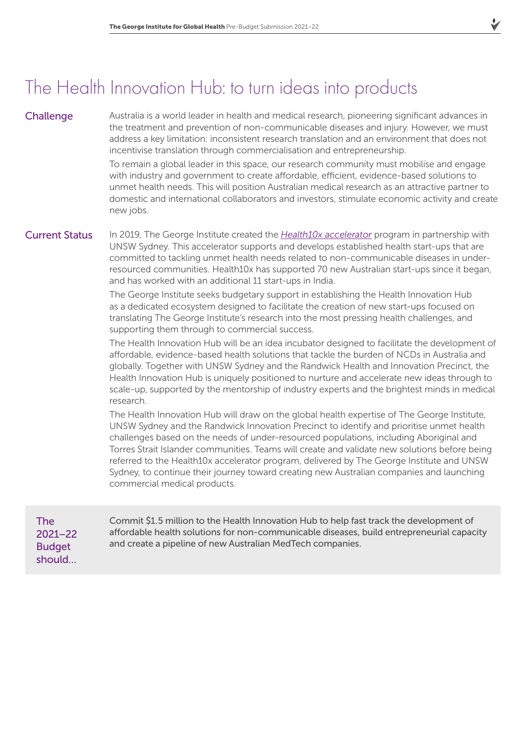# The Health Innovation Hub: to turn ideas into products

### **Challenge**

Australia is a world leader in health and medical research, pioneering significant advances in the treatment and prevention of non-communicable diseases and injury. However, we must address a key limitation: inconsistent research translation and an environment that does not incentivise translation through commercialisation and entrepreneurship.

To remain a global leader in this space, our research community must mobilise and engage with industry and government to create affordable, efficient, evidence-based solutions to unmet health needs. This will position Australian medical research as an attractive partner to domestic and international collaborators and investors, stimulate economic activity and create new jobs.

### Current Status

In 2019, The George Institute created the *[Health10x accelerator](https://www.georgeinstitute.org/health-10x)* program in partnership with UNSW Sydney. This accelerator supports and develops established health start-ups that are committed to tackling unmet health needs related to non-communicable diseases in underresourced communities. Health10x has supported 70 new Australian start-ups since it began, and has worked with an additional 11 start-ups in India.

The George Institute seeks budgetary support in establishing the Health Innovation Hub as a dedicated ecosystem designed to facilitate the creation of new start-ups focused on translating The George Institute's research into the most pressing health challenges, and supporting them through to commercial success.

The Health Innovation Hub will be an idea incubator designed to facilitate the development of affordable, evidence-based health solutions that tackle the burden of NCDs in Australia and globally. Together with UNSW Sydney and the Randwick Health and Innovation Precinct, the Health Innovation Hub is uniquely positioned to nurture and accelerate new ideas through to scale-up, supported by the mentorship of industry experts and the brightest minds in medical research.

The Health Innovation Hub will draw on the global health expertise of The George Institute, UNSW Sydney and the Randwick Innovation Precinct to identify and prioritise unmet health challenges based on the needs of under-resourced populations, including Aboriginal and Torres Strait Islander communities. Teams will create and validate new solutions before being referred to the Health10x accelerator program, delivered by The George Institute and UNSW Sydney, to continue their journey toward creating new Australian companies and launching commercial medical products.

The 2021–22 **Budget** should…

Commit \$1.5 million to the Health Innovation Hub to help fast track the development of affordable health solutions for non-communicable diseases, build entrepreneurial capacity and create a pipeline of new Australian MedTech companies.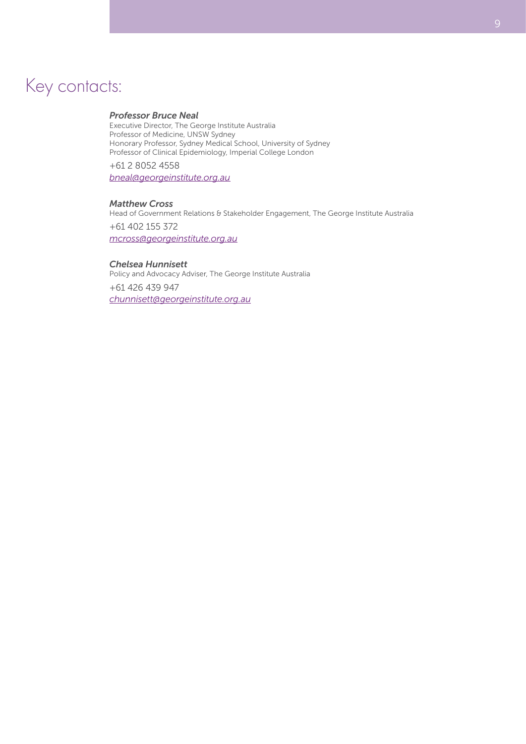### Key contacts:

#### *Professor Bruce Neal*

Executive Director, The George Institute Australia Professor of Medicine, UNSW Sydney Honorary Professor, Sydney Medical School, University of Sydney Professor of Clinical Epidemiology, Imperial College London

+61 2 8052 4558

*[bneal@georgeinstitute.org.au](mailto:bneal%40georgeinstitute.org.au%20?subject=TGI%20Pre-budget%20submission)*

#### *Matthew Cross*

Head of Government Relations & Stakeholder Engagement, The George Institute Australia +61 402 155 372 *[mcross@georgeinstitute.org.au](mailto:mcross%40georgeinstitute.org.au%20?subject=TGI%20Pre-budget%20submission)*

#### *Chelsea Hunnisett*

Policy and Advocacy Adviser, The George Institute Australia +61 426 439 947 *[chunnisett@georgeinstitute.org.au](mailto:chunnisett%40georgeinstitute.org.au?subject=TGI%20Pre-budget%20submission)*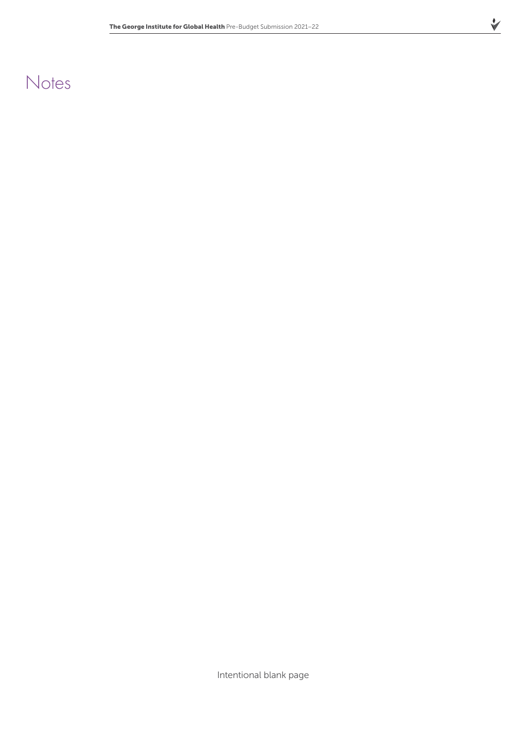### **Notes**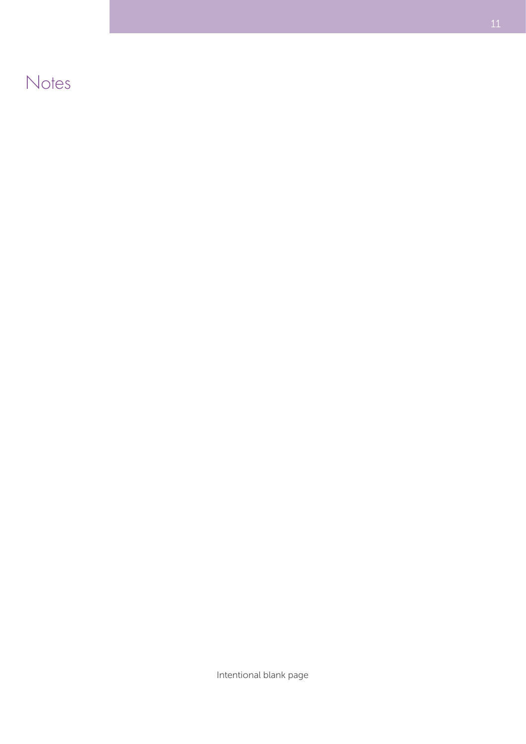**Notes**